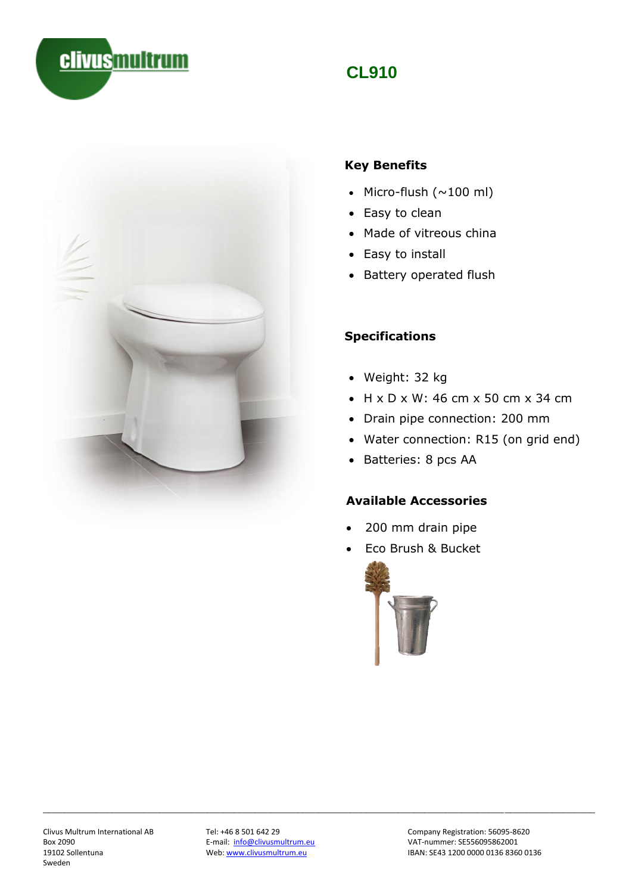

\_\_\_\_\_\_\_\_\_\_\_\_\_\_\_\_\_\_\_\_\_\_\_\_\_\_\_\_\_\_\_\_\_\_\_\_\_\_\_\_\_\_\_\_\_\_\_\_\_\_\_\_\_\_\_\_\_\_\_\_\_\_\_\_\_\_\_\_\_\_\_\_\_\_\_\_\_\_\_\_\_\_\_\_\_\_\_\_\_\_\_\_\_\_\_\_\_\_\_\_\_\_\_\_

# **CL910**



#### **Key Benefits**

- Micro-flush  $(\sim 100 \text{ ml})$
- Easy to clean
- Made of vitreous china
- Easy to install
- Battery operated flush

#### **Specifications**

- Weight: 32 kg
- $\bullet$  H x D x W: 46 cm x 50 cm x 34 cm
- Drain pipe connection: 200 mm
- Water connection: R15 (on grid end)
- Batteries: 8 pcs AA

#### **Available Accessories**

- 200 mm drain pipe
- Eco Brush & Bucket



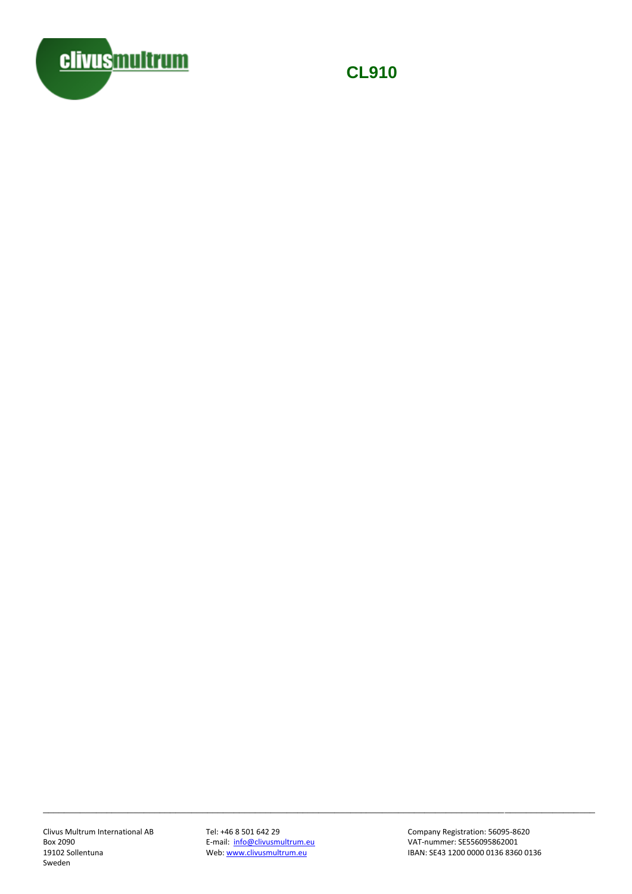

**CL910**

E-mail: [info@clivusmultrum.eu](mailto:info@clivusmultrum.eu)<br>Web: www.clivusmultrum.eu

\_\_\_\_\_\_\_\_\_\_\_\_\_\_\_\_\_\_\_\_\_\_\_\_\_\_\_\_\_\_\_\_\_\_\_\_\_\_\_\_\_\_\_\_\_\_\_\_\_\_\_\_\_\_\_\_\_\_\_\_\_\_\_\_\_\_\_\_\_\_\_\_\_\_\_\_\_\_\_\_\_\_\_\_\_\_\_\_\_\_\_\_\_\_\_\_\_\_\_\_\_\_\_\_

Clivus Multrum International AB Tel: +46 8 501 642 29 Company Registration: 56095-8620<br>Box 2090 Company Registration: 56095-862001 IBAN: SE43 1200 0000 0136 8360 0136